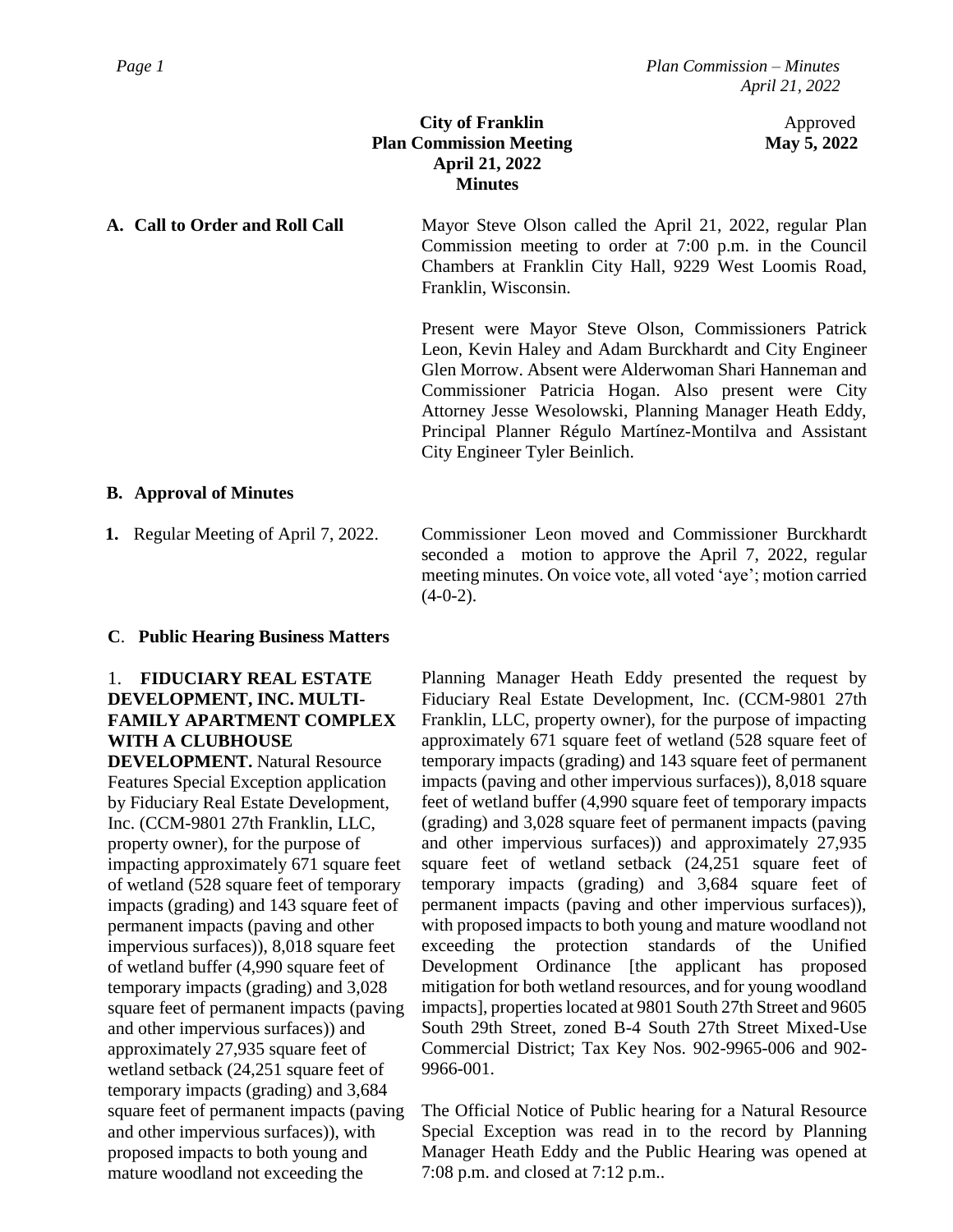**City of Franklin** Approved **Plan Commission Meeting May 5, 2022 April 21, 2022 Minutes**

**A. Call to Order and Roll Call** Mayor Steve Olson called the April 21, 2022, regular Plan Commission meeting to order at 7:00 p.m. in the Council Chambers at Franklin City Hall, 9229 West Loomis Road, Franklin, Wisconsin.

> Present were Mayor Steve Olson, Commissioners Patrick Leon, Kevin Haley and Adam Burckhardt and City Engineer Glen Morrow. Absent were Alderwoman Shari Hanneman and Commissioner Patricia Hogan. Also present were City Attorney Jesse Wesolowski, Planning Manager Heath Eddy, Principal Planner Régulo Martínez-Montilva and Assistant City Engineer Tyler Beinlich.

## **B. Approval of Minutes**

**1.** Regular Meeting of April 7, 2022.

Commissioner Leon moved and Commissioner Burckhardt seconded a motion to approve the April 7, 2022, regular meeting minutes. On voice vote, all voted 'aye'; motion carried  $(4-0-2)$ .

## **C**. **Public Hearing Business Matters**

# 1. **FIDUCIARY REAL ESTATE DEVELOPMENT, INC. MULTI-FAMILY APARTMENT COMPLEX WITH A CLUBHOUSE**

**DEVELOPMENT.** Natural Resource Features Special Exception application by Fiduciary Real Estate Development, Inc. (CCM-9801 27th Franklin, LLC, property owner), for the purpose of impacting approximately 671 square feet of wetland (528 square feet of temporary impacts (grading) and 143 square feet of permanent impacts (paving and other impervious surfaces)), 8,018 square feet of wetland buffer (4,990 square feet of temporary impacts (grading) and 3,028 square feet of permanent impacts (paving and other impervious surfaces)) and approximately 27,935 square feet of wetland setback (24,251 square feet of temporary impacts (grading) and 3,684 square feet of permanent impacts (paving and other impervious surfaces)), with proposed impacts to both young and mature woodland not exceeding the

Planning Manager Heath Eddy presented the request by Fiduciary Real Estate Development, Inc. (CCM-9801 27th Franklin, LLC, property owner), for the purpose of impacting approximately 671 square feet of wetland (528 square feet of temporary impacts (grading) and 143 square feet of permanent impacts (paving and other impervious surfaces)), 8,018 square feet of wetland buffer (4,990 square feet of temporary impacts (grading) and 3,028 square feet of permanent impacts (paving and other impervious surfaces)) and approximately 27,935 square feet of wetland setback (24,251 square feet of temporary impacts (grading) and 3,684 square feet of permanent impacts (paving and other impervious surfaces)), with proposed impacts to both young and mature woodland not exceeding the protection standards of the Unified Development Ordinance [the applicant has proposed mitigation for both wetland resources, and for young woodland impacts], properties located at 9801 South 27th Street and 9605 South 29th Street, zoned B-4 South 27th Street Mixed-Use Commercial District; Tax Key Nos. 902-9965-006 and 902- 9966-001.

The Official Notice of Public hearing for a Natural Resource Special Exception was read in to the record by Planning Manager Heath Eddy and the Public Hearing was opened at 7:08 p.m. and closed at 7:12 p.m..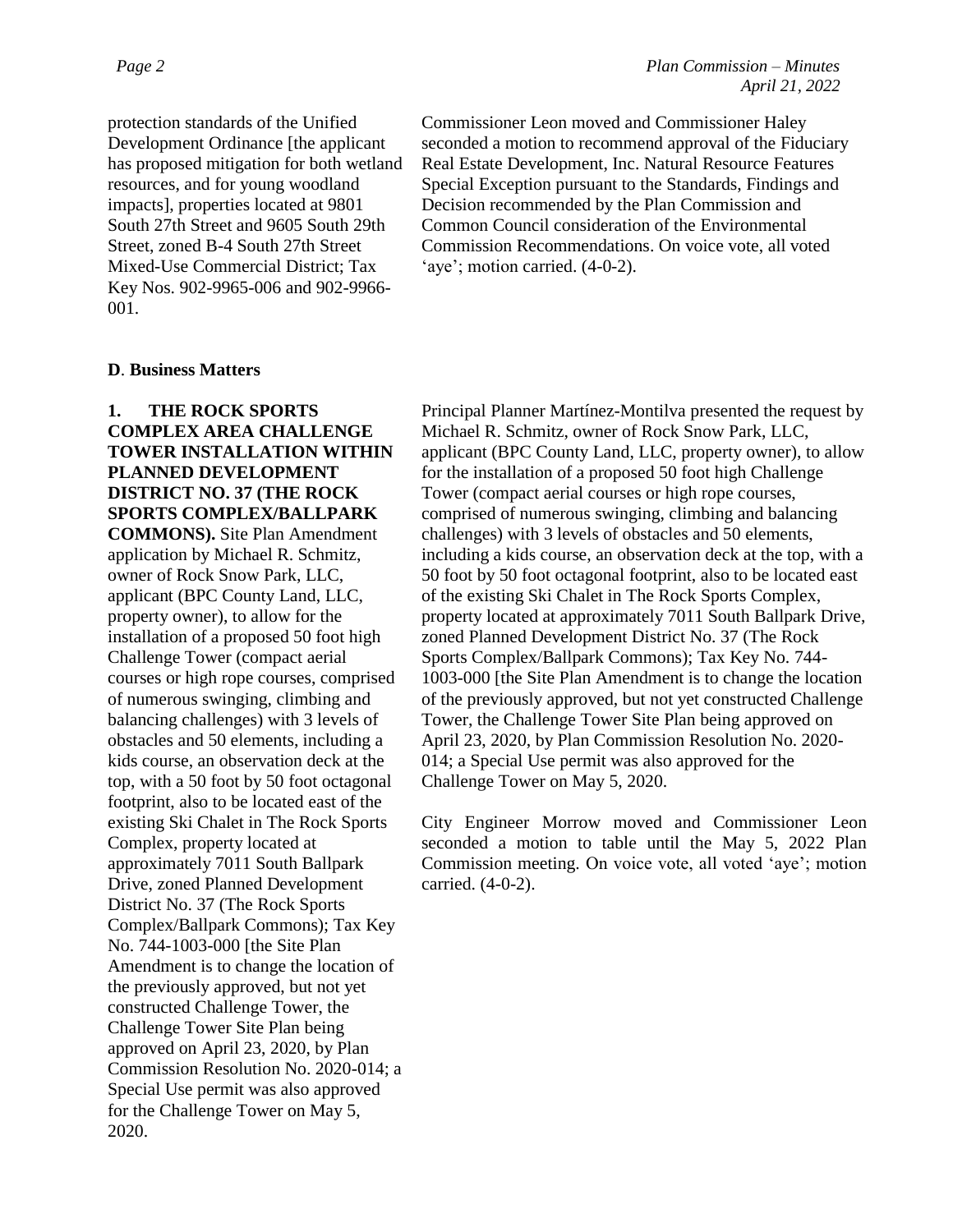protection standards of the Unified Development Ordinance [the applicant has proposed mitigation for both wetland resources, and for young woodland impacts], properties located at 9801 South 27th Street and 9605 South 29th Street, zoned B-4 South 27th Street Mixed-Use Commercial District; Tax Key Nos. 902-9965-006 and 902-9966- 001.

Commissioner Leon moved and Commissioner Haley seconded a motion to recommend approval of the Fiduciary Real Estate Development, Inc. Natural Resource Features Special Exception pursuant to the Standards, Findings and Decision recommended by the Plan Commission and Common Council consideration of the Environmental Commission Recommendations. On voice vote, all voted 'aye'; motion carried. (4-0-2).

#### **D**. **Business Matters**

# **1. THE ROCK SPORTS COMPLEX AREA CHALLENGE TOWER INSTALLATION WITHIN PLANNED DEVELOPMENT DISTRICT NO. 37 (THE ROCK SPORTS COMPLEX/BALLPARK COMMONS).** Site Plan Amendment

application by Michael R. Schmitz, owner of Rock Snow Park, LLC, applicant (BPC County Land, LLC, property owner), to allow for the installation of a proposed 50 foot high Challenge Tower (compact aerial courses or high rope courses, comprised of numerous swinging, climbing and balancing challenges) with 3 levels of obstacles and 50 elements, including a kids course, an observation deck at the top, with a 50 foot by 50 foot octagonal footprint, also to be located east of the existing Ski Chalet in The Rock Sports Complex, property located at approximately 7011 South Ballpark Drive, zoned Planned Development District No. 37 (The Rock Sports Complex/Ballpark Commons); Tax Key No. 744-1003-000 [the Site Plan Amendment is to change the location of the previously approved, but not yet constructed Challenge Tower, the Challenge Tower Site Plan being approved on April 23, 2020, by Plan Commission Resolution No. 2020-014; a Special Use permit was also approved for the Challenge Tower on May 5, 2020.

Principal Planner Martínez-Montilva presented the request by Michael R. Schmitz, owner of Rock Snow Park, LLC, applicant (BPC County Land, LLC, property owner), to allow for the installation of a proposed 50 foot high Challenge Tower (compact aerial courses or high rope courses, comprised of numerous swinging, climbing and balancing challenges) with 3 levels of obstacles and 50 elements, including a kids course, an observation deck at the top, with a 50 foot by 50 foot octagonal footprint, also to be located east of the existing Ski Chalet in The Rock Sports Complex, property located at approximately 7011 South Ballpark Drive, zoned Planned Development District No. 37 (The Rock Sports Complex/Ballpark Commons); Tax Key No. 744- 1003-000 [the Site Plan Amendment is to change the location of the previously approved, but not yet constructed Challenge Tower, the Challenge Tower Site Plan being approved on April 23, 2020, by Plan Commission Resolution No. 2020- 014; a Special Use permit was also approved for the Challenge Tower on May 5, 2020.

City Engineer Morrow moved and Commissioner Leon seconded a motion to table until the May 5, 2022 Plan Commission meeting. On voice vote, all voted 'aye'; motion carried. (4-0-2).